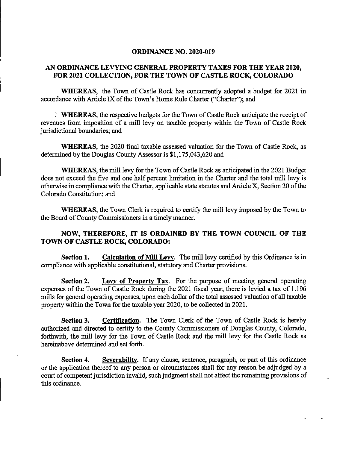## ORDINANCE NO. 2020-019

## AN ORDINANCE LEVYING GENERAL PROPERTY TAXES FOR THE YEAR 2020, FOR 2021 COLLECTION, FOR THE TOWN OF CASTLE ROCK, COLORADO

WHEREAS, the Town of Castle Rock has concurrently adopted a budget for 2021 in accordance with Article IX of the Town's Home Rule Charter ("Charter"); and

' WHEREAS, the respective budgets for the Town of Castle Rock anticipate the receipt of revenues from imposition of a mill levy on taxable property within the Town of Castle Rock jurisdictional boundaries; and

WHEREAS, the 2020 final taxable assessed valuation for the Town of Castle Rock, as determined by the Douglas County Assessor is \$1,175,043,620 and

WHEREAS, the mill levy for the Town of Castle Rock as anticipated in the 2021 Budget does not exceed the five and one half percent limitation in the Charter and the total mill levy is otherwise in compliance with the Charter, applicable state statutes and Article X, Section 20 ofthe Colorado Constitution; and

WHEREAS, the Town Clerk is required to certify the mill levy imposed by the Town to the Board of County Commissioners in a timely manner.

## NOW, THEREFORE, IT IS ORDAINED BY THE TOWN COUNCIL OF THE TOWN OF CASTLE ROCK, COLORADO:

Section 1. Calculation of Mill Levy. The mill levy certified by this Ordinance is in compliance with applicable constitutional, statutory and Charter provisions.

Section 2. Levy of Property Tax. For the purpose of meeting general operating expenses of the Town of Castle Rock during the 2021 fiscal year, there is levied a tax of 1.196 mills for general operating expenses, upon each dollar of the total assessed valuation of all taxable property within the Town for the taxable year 2020, to be collected in 2021.

Section 3. Certification. The Town Clerk of the Town of Castle Rock is hereby authorized and directed to certify to the County Commissioners of Douglas County, Colorado, forthwith, the mill levy for the Town of Castle Rock and the mill levy for the Castle Rock as hereinabove determined and set forth.

Section 4. Severability. If any clause, sentence, paragraph, or part of this ordinance or the application thereof to any person or circumstances shall for any reason be adjudged by a court of competent jurisdiction invalid, such judgment shall not affect the remaining provisions of this ordinance.